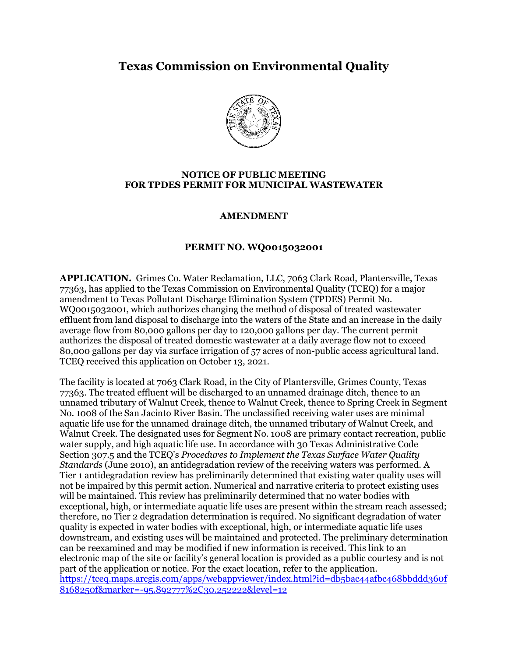# **Texas Commission on Environmental Quality**



#### **NOTICE OF PUBLIC MEETING FOR TPDES PERMIT FOR MUNICIPAL WASTEWATER**

### **AMENDMENT**

#### **PERMIT NO. WQ0015032001**

**APPLICATION.** Grimes Co. Water Reclamation, LLC, 7063 Clark Road, Plantersville, Texas 77363, has applied to the Texas Commission on Environmental Quality (TCEQ) for a major amendment to Texas Pollutant Discharge Elimination System (TPDES) Permit No. WQ0015032001, which authorizes changing the method of disposal of treated wastewater effluent from land disposal to discharge into the waters of the State and an increase in the daily average flow from 80,000 gallons per day to 120,000 gallons per day. The current permit authorizes the disposal of treated domestic wastewater at a daily average flow not to exceed 80,000 gallons per day via surface irrigation of 57 acres of non-public access agricultural land. TCEQ received this application on October 13, 2021.

The facility is located at 7063 Clark Road, in the City of Plantersville, Grimes County, Texas 77363. The treated effluent will be discharged to an unnamed drainage ditch, thence to an unnamed tributary of Walnut Creek, thence to Walnut Creek, thence to Spring Creek in Segment No. 1008 of the San Jacinto River Basin. The unclassified receiving water uses are minimal aquatic life use for the unnamed drainage ditch, the unnamed tributary of Walnut Creek, and Walnut Creek. The designated uses for Segment No. 1008 are primary contact recreation, public water supply, and high aquatic life use. In accordance with 30 Texas Administrative Code Section 307.5 and the TCEQ's *Procedures to Implement the Texas Surface Water Quality Standards* (June 2010), an antidegradation review of the receiving waters was performed. A Tier 1 antidegradation review has preliminarily determined that existing water quality uses will not be impaired by this permit action. Numerical and narrative criteria to protect existing uses will be maintained. This review has preliminarily determined that no water bodies with exceptional, high, or intermediate aquatic life uses are present within the stream reach assessed; therefore, no Tier 2 degradation determination is required. No significant degradation of water quality is expected in water bodies with exceptional, high, or intermediate aquatic life uses downstream, and existing uses will be maintained and protected. The preliminary determination can be reexamined and may be modified if new information is received. This link to an electronic map of the site or facility's general location is provided as a public courtesy and is not part of the application or notice. For the exact location, refer to the application. [https://tceq.maps.arcgis.com/apps/webappviewer/index.html?id=db5bac44afbc468bbddd360f](https://tceq.maps.arcgis.com/apps/webappviewer/index.html?id=db5bac44afbc468bbddd360f8168250f&marker=-95.892777%2C30.252222&level=12) [8168250f&marker=-95.892777%2C30.252222&level=12](https://tceq.maps.arcgis.com/apps/webappviewer/index.html?id=db5bac44afbc468bbddd360f8168250f&marker=-95.892777%2C30.252222&level=12)